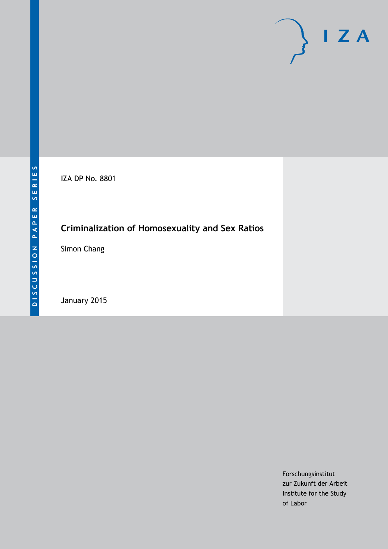

IZA DP No. 8801

# **Criminalization of Homosexuality and Sex Ratios**

Simon Chang

January 2015

Forschungsinstitut zur Zukunft der Arbeit Institute for the Study of Labor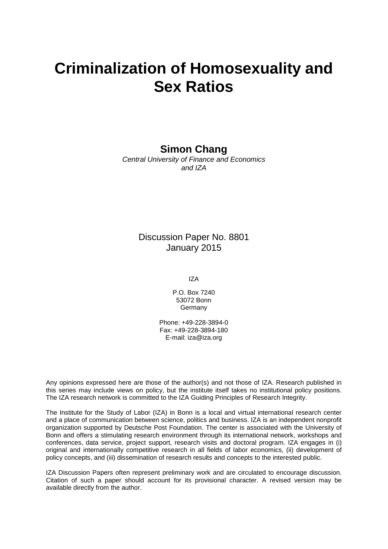# **Criminalization of Homosexuality and Sex Ratios**

## **Simon Chang**

*Central University of Finance and Economics and IZA*

## Discussion Paper No. 8801 January 2015

IZA

P.O. Box 7240 53072 Bonn **Germany** 

Phone: +49-228-3894-0 Fax: +49-228-3894-180 E-mail: [iza@iza.org](mailto:iza@iza.org)

Any opinions expressed here are those of the author(s) and not those of IZA. Research published in this series may include views on policy, but the institute itself takes no institutional policy positions. The IZA research network is committed to the IZA Guiding Principles of Research Integrity.

The Institute for the Study of Labor (IZA) in Bonn is a local and virtual international research center and a place of communication between science, politics and business. IZA is an independent nonprofit organization supported by Deutsche Post Foundation. The center is associated with the University of Bonn and offers a stimulating research environment through its international network, workshops and conferences, data service, project support, research visits and doctoral program. IZA engages in (i) original and internationally competitive research in all fields of labor economics, (ii) development of policy concepts, and (iii) dissemination of research results and concepts to the interested public.

IZA Discussion Papers often represent preliminary work and are circulated to encourage discussion. Citation of such a paper should account for its provisional character. A revised version may be available directly from the author.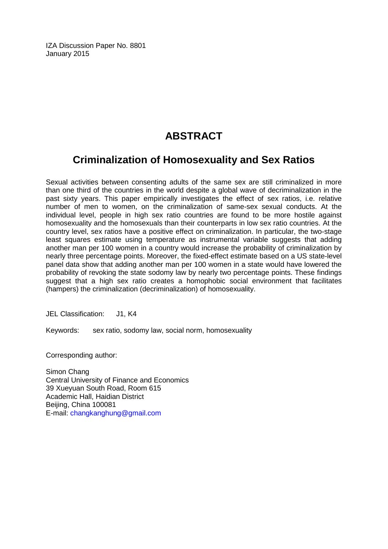IZA Discussion Paper No. 8801 January 2015

# **ABSTRACT**

# **Criminalization of Homosexuality and Sex Ratios**

Sexual activities between consenting adults of the same sex are still criminalized in more than one third of the countries in the world despite a global wave of decriminalization in the past sixty years. This paper empirically investigates the effect of sex ratios, i.e. relative number of men to women, on the criminalization of same-sex sexual conducts. At the individual level, people in high sex ratio countries are found to be more hostile against homosexuality and the homosexuals than their counterparts in low sex ratio countries. At the country level, sex ratios have a positive effect on criminalization. In particular, the two-stage least squares estimate using temperature as instrumental variable suggests that adding another man per 100 women in a country would increase the probability of criminalization by nearly three percentage points. Moreover, the fixed-effect estimate based on a US state-level panel data show that adding another man per 100 women in a state would have lowered the probability of revoking the state sodomy law by nearly two percentage points. These findings suggest that a high sex ratio creates a homophobic social environment that facilitates (hampers) the criminalization (decriminalization) of homosexuality.

JEL Classification: J1, K4

Keywords: sex ratio, sodomy law, social norm, homosexuality

Corresponding author:

Simon Chang Central University of Finance and Economics 39 Xueyuan South Road, Room 615 Academic Hall, Haidian District Beijing, China 100081 E-mail: [changkanghung@gmail.com](mailto:changkanghung@gmail.com)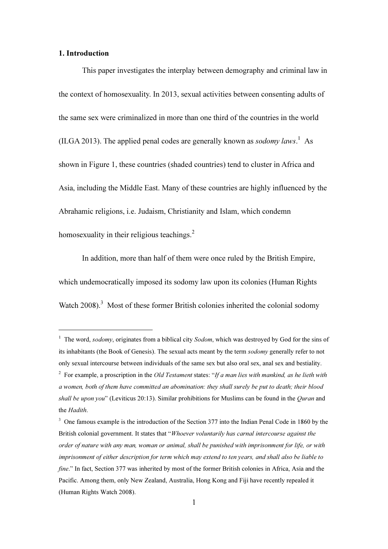#### 1. Introduction

֦

This paper investigates the interplay between demography and criminal law in the context of homosexuality. In 2013, sexual activities between consenting adults of the same sex were criminalized in more than one third of the countries in the world (ILGA 2013). The applied penal codes are generally known as *sodomy laws*.<sup>1</sup> As shown in Figure 1, these countries (shaded countries) tend to cluster in Africa and Asia, including the Middle East. Many of these countries are highly influenced by the Abrahamic religions, i.e. Judaism, Christianity and Islam, which condemn homosexuality in their religious teachings. $2$ 

In addition, more than half of them were once ruled by the British Empire, which undemocratically imposed its sodomy law upon its colonies (Human Rights Watch 2008).<sup>3</sup> Most of these former British colonies inherited the colonial sodomy

<sup>&</sup>lt;sup>1</sup> The word, sodomy, originates from a biblical city Sodom, which was destroyed by God for the sins of its inhabitants (the Book of Genesis). The sexual acts meant by the term sodomy generally refer to not only sexual intercourse between individuals of the same sex but also oral sex, anal sex and bestiality. <sup>2</sup> For example, a proscription in the *Old Testament* states: "If a man lies with mankind, as he lieth with a women, both of them have committed an abomination: they shall surely be put to death; their blood shall be upon you" (Leviticus 20:13). Similar prohibitions for Muslims can be found in the *Ouran* and the Hadith.

<sup>&</sup>lt;sup>3</sup> One famous example is the introduction of the Section 377 into the Indian Penal Code in 1860 by the British colonial government. It states that "Whoever voluntarily has carnal intercourse against the order of nature with any man, woman or animal, shall be punished with imprisonment for life, or with imprisonment of either description for term which may extend to ten years, and shall also be liable to fine." In fact, Section 377 was inherited by most of the former British colonies in Africa, Asia and the Pacific. Among them, only New Zealand, Australia, Hong Kong and Fiji have recently repealed it (Human Rights Watch 2008).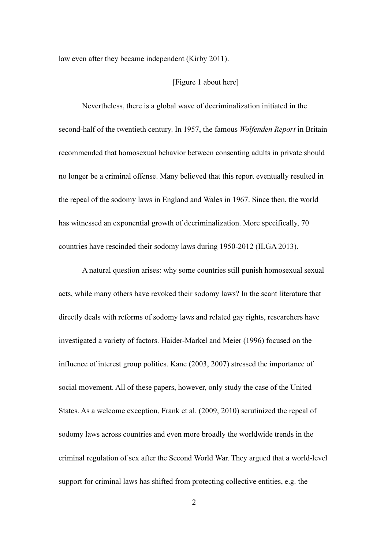law even after they became independent (Kirby 2011).

#### [Figure 1 about here]

Nevertheless, there is a global wave of decriminalization initiated in the second-half of the twentieth century. In 1957, the famous *Wolfenden Report* in Britain recommended that homosexual behavior between consenting adults in private should no longer be a criminal offense. Many believed that this report eventually resulted in the repeal of the sodomy laws in England and Wales in 1967. Since then, the world has witnessed an exponential growth of decriminalization. More specifically, 70 countries have rescinded their sodomy laws during 1950-2012 (ILGA 2013).

A natural question arises: why some countries still punish homosexual sexual acts, while many others have revoked their sodomy laws? In the scant literature that directly deals with reforms of sodomy laws and related gay rights, researchers have investigated a variety of factors. Haider-Markel and Meier (1996) focused on the influence of interest group politics. Kane (2003, 2007) stressed the importance of social movement. All of these papers, however, only study the case of the United States. As a welcome exception, Frank et al. (2009, 2010) scrutinized the repeal of sodomy laws across countries and even more broadly the worldwide trends in the criminal regulation of sex after the Second World War. They argued that a world-level support for criminal laws has shifted from protecting collective entities, e.g. the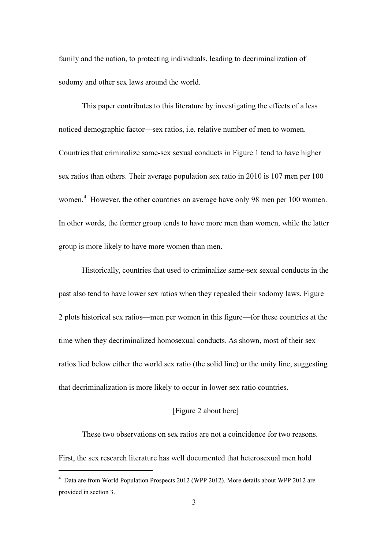family and the nation, to protecting individuals, leading to decriminalization of sodomy and other sex laws around the world.

This paper contributes to this literature by investigating the effects of a less noticed demographic factor—sex ratios, i.e. relative number of men to women. Countries that criminalize same-sex sexual conducts in Figure 1 tend to have higher sex ratios than others. Their average population sex ratio in 2010 is 107 men per 100 women. 4 However, the other countries on average have only 98 men per 100 women. In other words, the former group tends to have more men than women, while the latter group is more likely to have more women than men.

Historically, countries that used to criminalize same-sex sexual conducts in the past also tend to have lower sex ratios when they repealed their sodomy laws. Figure 2 plots historical sex ratios—men per women in this figure—for these countries at the time when they decriminalized homosexual conducts. As shown, most of their sex ratios lied below either the world sex ratio (the solid line) or the unity line, suggesting that decriminalization is more likely to occur in lower sex ratio countries.

#### [Figure 2 about here]

These two observations on sex ratios are not a coincidence for two reasons.

First, the sex research literature has well documented that heterosexual men hold

֦

<sup>4</sup> Data are from World Population Prospects 2012 (WPP 2012). More details about WPP 2012 are provided in section 3.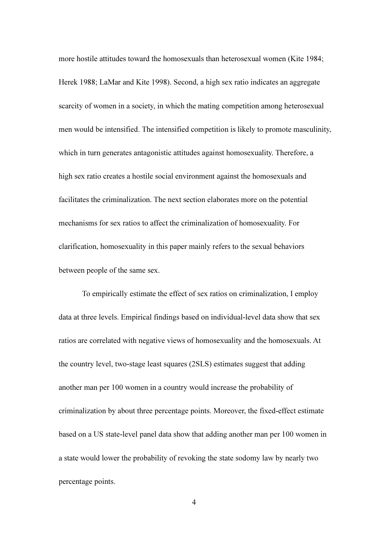more hostile attitudes toward the homosexuals than heterosexual women (Kite 1984; Herek 1988; LaMar and Kite 1998). Second, a high sex ratio indicates an aggregate scarcity of women in a society, in which the mating competition among heterosexual men would be intensified. The intensified competition is likely to promote masculinity, which in turn generates antagonistic attitudes against homosexuality. Therefore, a high sex ratio creates a hostile social environment against the homosexuals and facilitates the criminalization. The next section elaborates more on the potential mechanisms for sex ratios to affect the criminalization of homosexuality. For clarification, homosexuality in this paper mainly refers to the sexual behaviors between people of the same sex.

To empirically estimate the effect of sex ratios on criminalization, I employ data at three levels. Empirical findings based on individual-level data show that sex ratios are correlated with negative views of homosexuality and the homosexuals. At the country level, two-stage least squares (2SLS) estimates suggest that adding another man per 100 women in a country would increase the probability of criminalization by about three percentage points. Moreover, the fixed-effect estimate based on a US state-level panel data show that adding another man per 100 women in a state would lower the probability of revoking the state sodomy law by nearly two percentage points.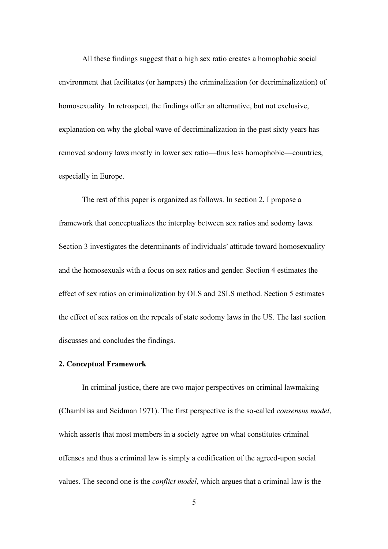All these findings suggest that a high sex ratio creates a homophobic social environment that facilitates (or hampers) the criminalization (or decriminalization) of homosexuality. In retrospect, the findings offer an alternative, but not exclusive, explanation on why the global wave of decriminalization in the past sixty years has removed sodomy laws mostly in lower sex ratio—thus less homophobic—countries, especially in Europe.

The rest of this paper is organized as follows. In section 2, I propose a framework that conceptualizes the interplay between sex ratios and sodomy laws. Section 3 investigates the determinants of individuals' attitude toward homosexuality and the homosexuals with a focus on sex ratios and gender. Section 4 estimates the effect of sex ratios on criminalization by OLS and 2SLS method. Section 5 estimates the effect of sex ratios on the repeals of state sodomy laws in the US. The last section discusses and concludes the findings.

#### 2. Conceptual Framework

In criminal justice, there are two major perspectives on criminal lawmaking (Chambliss and Seidman 1971). The first perspective is the so-called *consensus model*, which asserts that most members in a society agree on what constitutes criminal offenses and thus a criminal law is simply a codification of the agreed-upon social values. The second one is the *conflict model*, which argues that a criminal law is the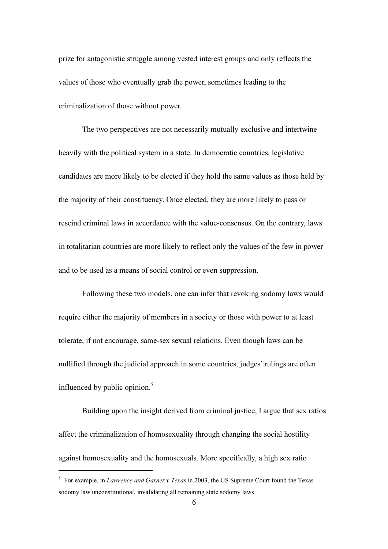prize for antagonistic struggle among vested interest groups and only reflects the values of those who eventually grab the power, sometimes leading to the criminalization of those without power.

The two perspectives are not necessarily mutually exclusive and intertwine heavily with the political system in a state. In democratic countries, legislative candidates are more likely to be elected if they hold the same values as those held by the majority of their constituency. Once elected, they are more likely to pass or rescind criminal laws in accordance with the value-consensus. On the contrary, laws in totalitarian countries are more likely to reflect only the values of the few in power and to be used as a means of social control or even suppression.

Following these two models, one can infer that revoking sodomy laws would require either the majority of members in a society or those with power to at least tolerate, if not encourage, same-sex sexual relations. Even though laws can be nullified through the judicial approach in some countries, judges' rulings are often influenced by public opinion. $5$ 

Building upon the insight derived from criminal justice, I argue that sex ratios affect the criminalization of homosexuality through changing the social hostility against homosexuality and the homosexuals. More specifically, a high sex ratio

<sup>&</sup>lt;sup>5</sup> For example, in *Lawrence and Garner v Texas* in 2003, the US Supreme Court found the Texas sodomy law unconstitutional, invalidating all remaining state sodomy laws.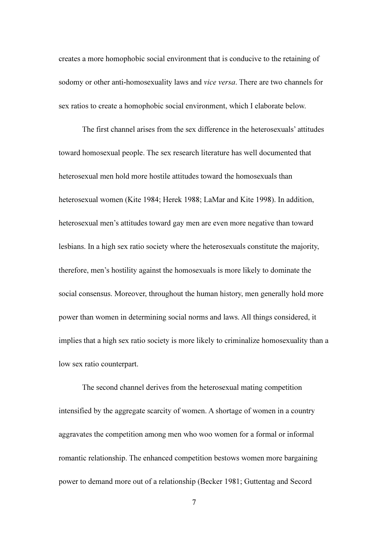creates a more homophobic social environment that is conducive to the retaining of sodomy or other anti-homosexuality laws and *vice versa*. There are two channels for sex ratios to create a homophobic social environment, which I elaborate below.

The first channel arises from the sex difference in the heterosexuals' attitudes toward homosexual people. The sex research literature has well documented that heterosexual men hold more hostile attitudes toward the homosexuals than heterosexual women (Kite 1984; Herek 1988; LaMar and Kite 1998). In addition, heterosexual men's attitudes toward gay men are even more negative than toward lesbians. In a high sex ratio society where the heterosexuals constitute the majority, therefore, men's hostility against the homosexuals is more likely to dominate the social consensus. Moreover, throughout the human history, men generally hold more power than women in determining social norms and laws. All things considered, it implies that a high sex ratio society is more likely to criminalize homosexuality than a low sex ratio counterpart.

The second channel derives from the heterosexual mating competition intensified by the aggregate scarcity of women. A shortage of women in a country aggravates the competition among men who woo women for a formal or informal romantic relationship. The enhanced competition bestows women more bargaining power to demand more out of a relationship (Becker 1981; Guttentag and Secord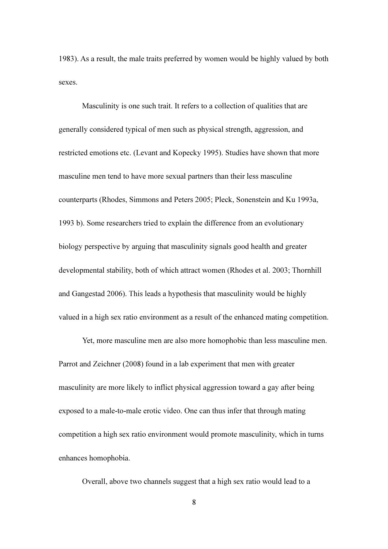1983). As a result, the male traits preferred by women would be highly valued by both sexes.

Masculinity is one such trait. It refers to a collection of qualities that are generally considered typical of men such as physical strength, aggression, and restricted emotions etc. (Levant and Kopecky 1995). Studies have shown that more masculine men tend to have more sexual partners than their less masculine counterparts (Rhodes, Simmons and Peters 2005; Pleck, Sonenstein and Ku 1993a, 1993 b). Some researchers tried to explain the difference from an evolutionary biology perspective by arguing that masculinity signals good health and greater developmental stability, both of which attract women (Rhodes et al. 2003; Thornhill and Gangestad 2006). This leads a hypothesis that masculinity would be highly valued in a high sex ratio environment as a result of the enhanced mating competition.

Yet, more masculine men are also more homophobic than less masculine men. Parrot and Zeichner (2008) found in a lab experiment that men with greater masculinity are more likely to inflict physical aggression toward a gay after being exposed to a male-to-male erotic video. One can thus infer that through mating competition a high sex ratio environment would promote masculinity, which in turns enhances homophobia.

Overall, above two channels suggest that a high sex ratio would lead to a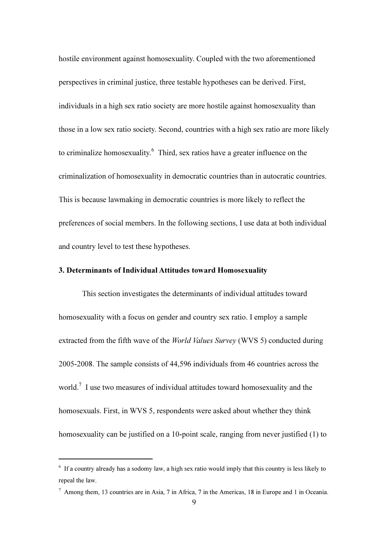hostile environment against homosexuality. Coupled with the two aforementioned perspectives in criminal justice, three testable hypotheses can be derived. First, individuals in a high sex ratio society are more hostile against homosexuality than those in a low sex ratio society. Second, countries with a high sex ratio are more likely to criminalize homosexuality.<sup>6</sup> Third, sex ratios have a greater influence on the criminalization of homosexuality in democratic countries than in autocratic countries. This is because lawmaking in democratic countries is more likely to reflect the preferences of social members. In the following sections, I use data at both individual and country level to test these hypotheses.

#### 3. Determinants of Individual Attitudes toward Homosexuality

This section investigates the determinants of individual attitudes toward homosexuality with a focus on gender and country sex ratio. I employ a sample extracted from the fifth wave of the *World Values Survey* (WVS 5) conducted during 2005-2008. The sample consists of 44,596 individuals from 46 countries across the world.<sup>7</sup> I use two measures of individual attitudes toward homosexuality and the homosexuals. First, in WVS 5, respondents were asked about whether they think homosexuality can be justified on a 10-point scale, ranging from never justified (1) to

 $6$  If a country already has a sodomy law, a high sex ratio would imply that this country is less likely to repeal the law.

<sup>7</sup> Among them, 13 countries are in Asia, 7 in Africa, 7 in the Americas, 18 in Europe and 1 in Oceania.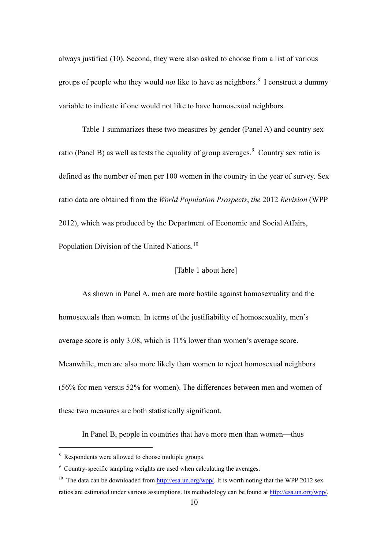always justified (10). Second, they were also asked to choose from a list of various groups of people who they would *not* like to have as neighbors.<sup>8</sup> I construct a dummy variable to indicate if one would not like to have homosexual neighbors.

Table 1 summarizes these two measures by gender (Panel A) and country sex ratio (Panel B) as well as tests the equality of group averages. <sup>9</sup> Country sex ratio is defined as the number of men per 100 women in the country in the year of survey. Sex ratio data are obtained from the *World Population Prospects*, *the* 2012 *Revision* (WPP 2012), which was produced by the Department of Economic and Social Affairs, Population Division of the United Nations.<sup>10</sup>

#### [Table 1 about here]

As shown in Panel A, men are more hostile against homosexuality and the homosexuals than women. In terms of the justifiability of homosexuality, men's average score is only 3.08, which is 11% lower than women's average score. Meanwhile, men are also more likely than women to reject homosexual neighbors (56% for men versus 52% for women). The differences between men and women of these two measures are both statistically significant.

In Panel B, people in countries that have more men than women—thus

<sup>&</sup>lt;sup>8</sup> Respondents were allowed to choose multiple groups.

<sup>&</sup>lt;sup>9</sup> Country-specific sampling weights are used when calculating the averages.

<sup>&</sup>lt;sup>10</sup> The data can be downloaded from http://esa.un.org/wpp/. It is worth noting that the WPP 2012 sex ratios are estimated under various assumptions. Its methodology can be found at http://esa.un.org/wpp/.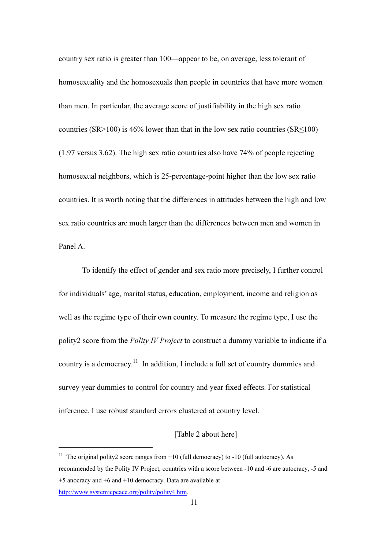country sex ratio is greater than 100—appear to be, on average, less tolerant of homosexuality and the homosexuals than people in countries that have more women than men. In particular, the average score of justifiability in the high sex ratio countries (SR>100) is 46% lower than that in the low sex ratio countries (SR $\leq$ 100) (1.97 versus 3.62). The high sex ratio countries also have 74% of people rejecting homosexual neighbors, which is 25-percentage-point higher than the low sex ratio countries. It is worth noting that the differences in attitudes between the high and low sex ratio countries are much larger than the differences between men and women in Panel A.

To identify the effect of gender and sex ratio more precisely, I further control for individuals' age, marital status, education, employment, income and religion as well as the regime type of their own country. To measure the regime type, I use the polity2 score from the *Polity IV Project* to construct a dummy variable to indicate if a country is a democracy.<sup>11</sup> In addition, I include a full set of country dummies and survey year dummies to control for country and year fixed effects. For statistical inference, I use robust standard errors clustered at country level.

#### [Table 2 about here]

http://www.systemicpeace.org/polity/polity4.htm.

<sup>&</sup>lt;sup>11</sup> The original polity2 score ranges from  $+10$  (full democracy) to  $-10$  (full autocracy). As recommended by the Polity IV Project, countries with a score between -10 and -6 are autocracy, -5 and +5 anocracy and +6 and +10 democracy. Data are available at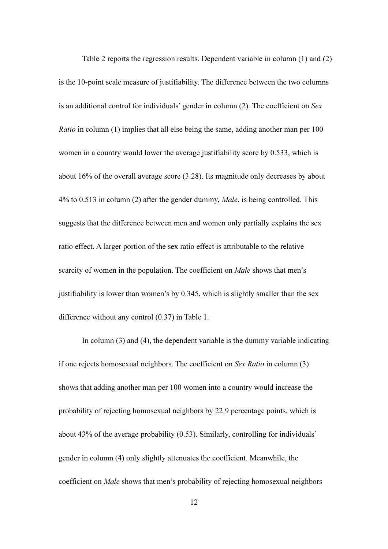Table 2 reports the regression results. Dependent variable in column (1) and (2) is the 10-point scale measure of justifiability. The difference between the two columns is an additional control for individuals' gender in column (2). The coefficient on *Sex Ratio* in column (1) implies that all else being the same, adding another man per 100 women in a country would lower the average justifiability score by 0.533, which is about 16% of the overall average score (3.28). Its magnitude only decreases by about 4% to 0.513 in column (2) after the gender dummy, *Male*, is being controlled. This suggests that the difference between men and women only partially explains the sex ratio effect. A larger portion of the sex ratio effect is attributable to the relative scarcity of women in the population. The coefficient on *Male* shows that men's justifiability is lower than women's by 0.345, which is slightly smaller than the sex difference without any control (0.37) in Table 1.

In column (3) and (4), the dependent variable is the dummy variable indicating if one rejects homosexual neighbors. The coefficient on *Sex Ratio* in column (3) shows that adding another man per 100 women into a country would increase the probability of rejecting homosexual neighbors by 22.9 percentage points, which is about 43% of the average probability (0.53). Similarly, controlling for individuals' gender in column (4) only slightly attenuates the coefficient. Meanwhile, the coefficient on *Male* shows that men's probability of rejecting homosexual neighbors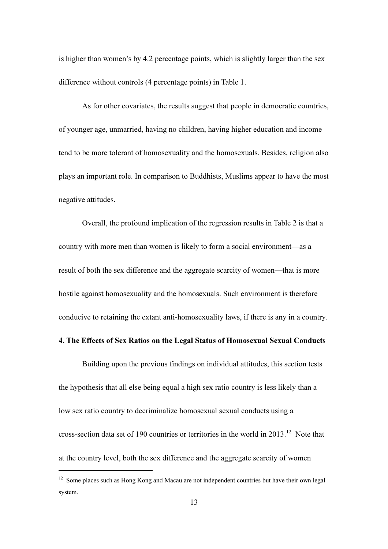is higher than women's by 4.2 percentage points, which is slightly larger than the sex difference without controls (4 percentage points) in Table 1.

As for other covariates, the results suggest that people in democratic countries, of younger age, unmarried, having no children, having higher education and income tend to be more tolerant of homosexuality and the homosexuals. Besides, religion also plays an important role. In comparison to Buddhists, Muslims appear to have the most negative attitudes.

Overall, the profound implication of the regression results in Table 2 is that a country with more men than women is likely to form a social environment—as a result of both the sex difference and the aggregate scarcity of women—that is more hostile against homosexuality and the homosexuals. Such environment is therefore conducive to retaining the extant anti-homosexuality laws, if there is any in a country.

#### 4. The Effects of Sex Ratios on the Legal Status of Homosexual Sexual Conducts

Building upon the previous findings on individual attitudes, this section tests the hypothesis that all else being equal a high sex ratio country is less likely than a low sex ratio country to decriminalize homosexual sexual conducts using a cross-section data set of 190 countries or territories in the world in 2013.<sup>12</sup> Note that at the country level, both the sex difference and the aggregate scarcity of women

<sup>&</sup>lt;sup>12</sup> Some places such as Hong Kong and Macau are not independent countries but have their own legal system.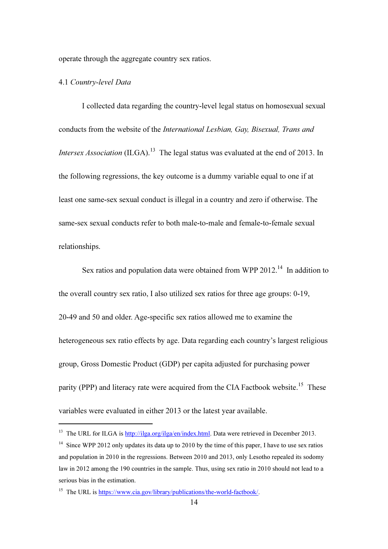operate through the aggregate country sex ratios.

#### 4.1 *Country-level Data*

ׇ֬֒

I collected data regarding the country-level legal status on homosexual sexual conducts from the website of the *International Lesbian, Gay, Bisexual, Trans and Intersex Association* (ILGA).<sup>13</sup> The legal status was evaluated at the end of 2013. In the following regressions, the key outcome is a dummy variable equal to one if at least one same-sex sexual conduct is illegal in a country and zero if otherwise. The same-sex sexual conducts refer to both male-to-male and female-to-female sexual relationships.

Sex ratios and population data were obtained from WPP 2012.<sup>14</sup> In addition to the overall country sex ratio, I also utilized sex ratios for three age groups: 0-19, 20-49 and 50 and older. Age-specific sex ratios allowed me to examine the heterogeneous sex ratio effects by age. Data regarding each country's largest religious group, Gross Domestic Product (GDP) per capita adjusted for purchasing power parity (PPP) and literacy rate were acquired from the CIA Factbook website.<sup>15</sup> These variables were evaluated in either 2013 or the latest year available.

<sup>&</sup>lt;sup>13</sup> The URL for ILGA is http://ilga.org/ilga/en/index.html. Data were retrieved in December 2013.

<sup>&</sup>lt;sup>14</sup> Since WPP 2012 only updates its data up to 2010 by the time of this paper. I have to use sex ratios and population in 2010 in the regressions. Between 2010 and 2013, only Lesotho repealed its sodomy law in 2012 among the 190 countries in the sample. Thus, using sex ratio in 2010 should not lead to a serious bias in the estimation.

<sup>&</sup>lt;sup>15</sup> The URL is https://www.c<u>ia.gov/library/publications/the-world-factbook/</u>.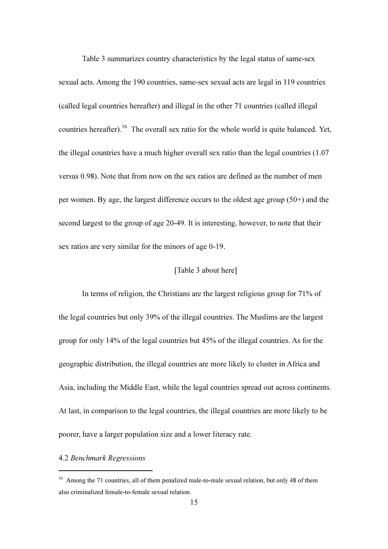Table 3 summarizes country characteristics by the legal status of same-sex sexual acts. Among the 190 countries, same-sex sexual acts are legal in 119 countries (called legal countries hereafter) and illegal in the other 71 countries (called illegal countries hereafter).<sup>16</sup> The overall sex ratio for the whole world is quite balanced. Yet, the illegal countries have a much higher overall sex ratio than the legal countries (1.07 versus 0.98). Note that from now on the sex ratios are defined as the number of men per women. By age, the largest difference occurs to the oldest age group (50+) and the second largest to the group of age 20-49. It is interesting, however, to note that their sex ratios are very similar for the minors of age 0-19.

#### [Table 3 about here]

In terms of religion, the Christians are the largest religious group for 71% of the legal countries but only 39% of the illegal countries. The Muslims are the largest group for only 14% of the legal countries but 45% of the illegal countries. As for the geographic distribution, the illegal countries are more likely to cluster in Africa and Asia, including the Middle East, while the legal countries spread out across continents. At last, in comparison to the legal countries, the illegal countries are more likely to be poorer, have a larger population size and a lower literacy rate.

#### 4.2 *Benchmark Regressions*

<sup>&</sup>lt;sup>16</sup> Among the 71 countries, all of them penalized male-to-male sexual relation, but only 48 of them also criminalized female-to-female sexual relation.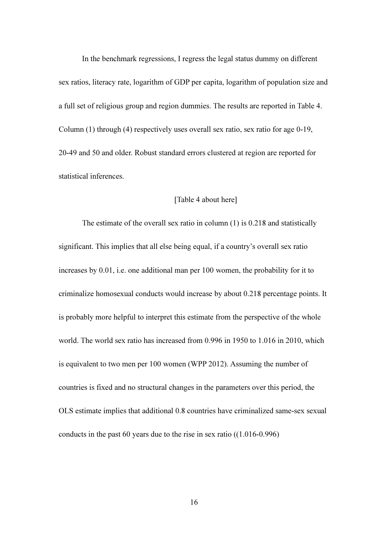In the benchmark regressions, I regress the legal status dummy on different sex ratios, literacy rate, logarithm of GDP per capita, logarithm of population size and a full set of religious group and region dummies. The results are reported in Table 4. Column (1) through (4) respectively uses overall sex ratio, sex ratio for age 0-19, 20-49 and 50 and older. Robust standard errors clustered at region are reported for statistical inferences.

#### [Table 4 about here]

The estimate of the overall sex ratio in column (1) is 0.218 and statistically significant. This implies that all else being equal, if a country's overall sex ratio increases by 0.01, i.e. one additional man per 100 women, the probability for it to criminalize homosexual conducts would increase by about 0.218 percentage points. It is probably more helpful to interpret this estimate from the perspective of the whole world. The world sex ratio has increased from 0.996 in 1950 to 1.016 in 2010, which is equivalent to two men per 100 women (WPP 2012). Assuming the number of countries is fixed and no structural changes in the parameters over this period, the OLS estimate implies that additional 0.8 countries have criminalized same-sex sexual conducts in the past 60 years due to the rise in sex ratio ((1.016-0.996)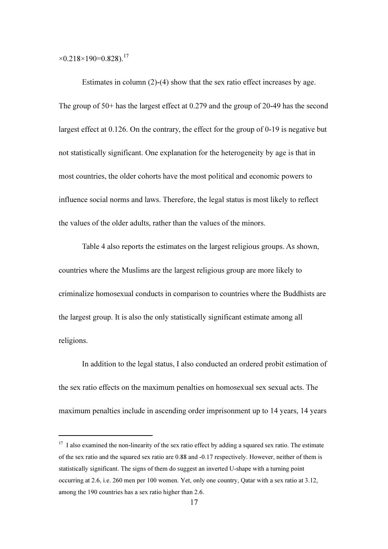$\times$ 0.218 $\times$ 190=0.828).<sup>17</sup>

ׇ֬֒

Estimates in column (2)-(4) show that the sex ratio effect increases by age. The group of 50+ has the largest effect at 0.279 and the group of 20-49 has the second largest effect at 0.126. On the contrary, the effect for the group of 0-19 is negative but not statistically significant. One explanation for the heterogeneity by age is that in most countries, the older cohorts have the most political and economic powers to influence social norms and laws. Therefore, the legal status is most likely to reflect the values of the older adults, rather than the values of the minors.

Table 4 also reports the estimates on the largest religious groups. As shown, countries where the Muslims are the largest religious group are more likely to criminalize homosexual conducts in comparison to countries where the Buddhists are the largest group. It is also the only statistically significant estimate among all religions.

In addition to the legal status, I also conducted an ordered probit estimation of the sex ratio effects on the maximum penalties on homosexual sex sexual acts. The maximum penalties include in ascending order imprisonment up to 14 years, 14 years

 $17$  I also examined the non-linearity of the sex ratio effect by adding a squared sex ratio. The estimate of the sex ratio and the squared sex ratio are 0.88 and -0.17 respectively. However, neither of them is statistically significant. The signs of them do suggest an inverted U-shape with a turning point occurring at 2.6, i.e. 260 men per 100 women. Yet, only one country, Qatar with a sex ratio at 3.12, among the 190 countries has a sex ratio higher than 2.6.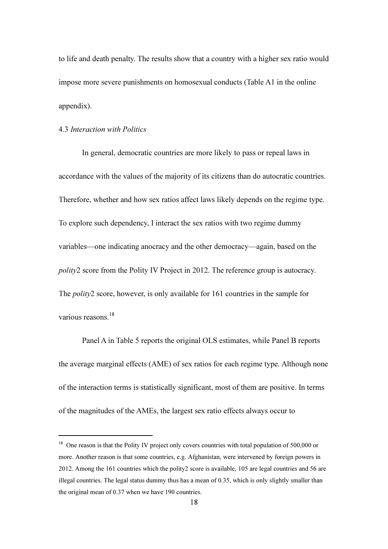to life and death penalty. The results show that a country with a higher sex ratio would impose more severe punishments on homosexual conducts (Table A1 in the online appendix).

#### 4.3 *Interaction with Politics*

ׇ֬֒

In general, democratic countries are more likely to pass or repeal laws in accordance with the values of the majority of its citizens than do autocratic countries. Therefore, whether and how sex ratios affect laws likely depends on the regime type. To explore such dependency, I interact the sex ratios with two regime dummy variables—one indicating anocracy and the other democracy—again, based on the *polity*2 score from the Polity IV Project in 2012. The reference group is autocracy. The *polity*2 score, however, is only available for 161 countries in the sample for various reasons.<sup>18</sup>

Panel A in Table 5 reports the original OLS estimates, while Panel B reports the average marginal effects (AME) of sex ratios for each regime type. Although none of the interaction terms is statistically significant, most of them are positive. In terms of the magnitudes of the AMEs, the largest sex ratio effects always occur to

<sup>&</sup>lt;sup>18</sup> One reason is that the Polity IV project only covers countries with total population of 500,000 or more. Another reason is that some countries, e.g. Afghanistan, were intervened by foreign powers in 2012. Among the 161 countries which the polity2 score is available, 105 are legal countries and 56 are illegal countries. The legal status dummy thus has a mean of 0.35, which is only slightly smaller than the original mean of 0.37 when we have 190 countries.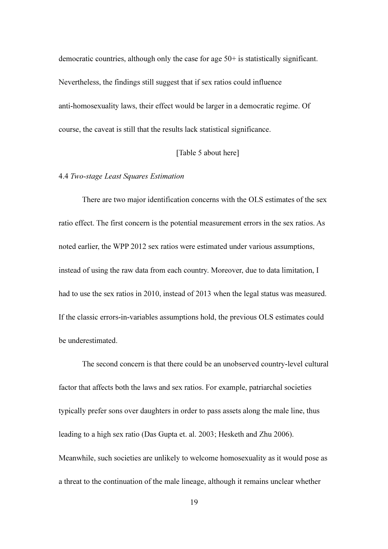democratic countries, although only the case for age 50+ is statistically significant. Nevertheless, the findings still suggest that if sex ratios could influence anti-homosexuality laws, their effect would be larger in a democratic regime. Of course, the caveat is still that the results lack statistical significance.

#### [Table 5 about here]

#### 4.4 *Two-stage Least Squares Estimation*

There are two major identification concerns with the OLS estimates of the sex ratio effect. The first concern is the potential measurement errors in the sex ratios. As noted earlier, the WPP 2012 sex ratios were estimated under various assumptions, instead of using the raw data from each country. Moreover, due to data limitation, I had to use the sex ratios in 2010, instead of 2013 when the legal status was measured. If the classic errors-in-variables assumptions hold, the previous OLS estimates could be underestimated.

The second concern is that there could be an unobserved country-level cultural factor that affects both the laws and sex ratios. For example, patriarchal societies typically prefer sons over daughters in order to pass assets along the male line, thus leading to a high sex ratio (Das Gupta et. al. 2003; Hesketh and Zhu 2006). Meanwhile, such societies are unlikely to welcome homosexuality as it would pose as a threat to the continuation of the male lineage, although it remains unclear whether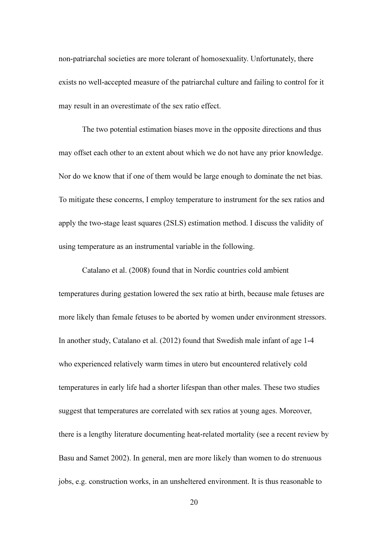non-patriarchal societies are more tolerant of homosexuality. Unfortunately, there exists no well-accepted measure of the patriarchal culture and failing to control for it may result in an overestimate of the sex ratio effect.

The two potential estimation biases move in the opposite directions and thus may offset each other to an extent about which we do not have any prior knowledge. Nor do we know that if one of them would be large enough to dominate the net bias. To mitigate these concerns, I employ temperature to instrument for the sex ratios and apply the two-stage least squares (2SLS) estimation method. I discuss the validity of using temperature as an instrumental variable in the following.

Catalano et al. (2008) found that in Nordic countries cold ambient temperatures during gestation lowered the sex ratio at birth, because male fetuses are more likely than female fetuses to be aborted by women under environment stressors. In another study, Catalano et al. (2012) found that Swedish male infant of age 1-4 who experienced relatively warm times in utero but encountered relatively cold temperatures in early life had a shorter lifespan than other males. These two studies suggest that temperatures are correlated with sex ratios at young ages. Moreover, there is a lengthy literature documenting heat-related mortality (see a recent review by Basu and Samet 2002). In general, men are more likely than women to do strenuous jobs, e.g. construction works, in an unsheltered environment. It is thus reasonable to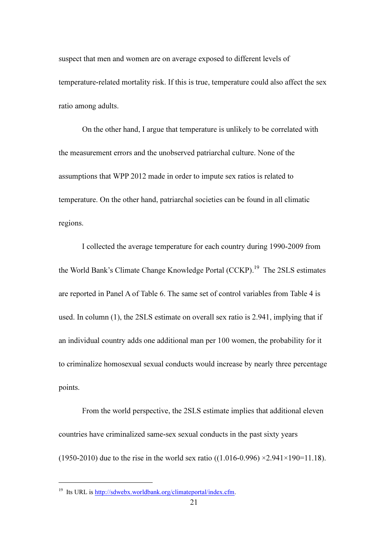suspect that men and women are on average exposed to different levels of temperature-related mortality risk. If this is true, temperature could also affect the sex ratio among adults.

On the other hand, I argue that temperature is unlikely to be correlated with the measurement errors and the unobserved patriarchal culture. None of the assumptions that WPP 2012 made in order to impute sex ratios is related to temperature. On the other hand, patriarchal societies can be found in all climatic regions.

I collected the average temperature for each country during 1990-2009 from the World Bank's Climate Change Knowledge Portal (CCKP). <sup>19</sup> The 2SLS estimates are reported in Panel A of Table 6. The same set of control variables from Table 4 is used. In column (1), the 2SLS estimate on overall sex ratio is 2.941, implying that if an individual country adds one additional man per 100 women, the probability for it to criminalize homosexual sexual conducts would increase by nearly three percentage points.

From the world perspective, the 2SLS estimate implies that additional eleven countries have criminalized same-sex sexual conducts in the past sixty years (1950-2010) due to the rise in the world sex ratio ((1.016-0.996)  $\times 2.941 \times 190 = 11.18$ ).

<sup>&</sup>lt;sup>19</sup> Its URL is http://sdwebx.worldbank.org/climateportal/index.cfm.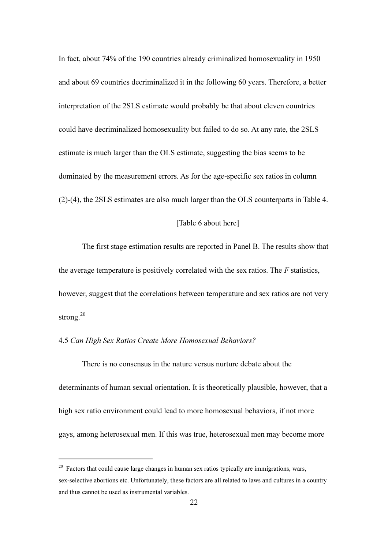In fact, about 74% of the 190 countries already criminalized homosexuality in 1950 and about 69 countries decriminalized it in the following 60 years. Therefore, a better interpretation of the 2SLS estimate would probably be that about eleven countries could have decriminalized homosexuality but failed to do so. At any rate, the 2SLS estimate is much larger than the OLS estimate, suggesting the bias seems to be dominated by the measurement errors. As for the age-specific sex ratios in column (2)-(4), the 2SLS estimates are also much larger than the OLS counterparts in Table 4.

#### [Table 6 about here]

The first stage estimation results are reported in Panel B. The results show that the average temperature is positively correlated with the sex ratios. The *F* statistics, however, suggest that the correlations between temperature and sex ratios are not very strong.<sup>20</sup>

#### 4.5 *Can High Sex Ratios Create More Homosexual Behaviors?*

ׇ֬֒

There is no consensus in the nature versus nurture debate about the determinants of human sexual orientation. It is theoretically plausible, however, that a high sex ratio environment could lead to more homosexual behaviors, if not more gays, among heterosexual men. If this was true, heterosexual men may become more

 $20$  Factors that could cause large changes in human sex ratios typically are immigrations, wars, sex-selective abortions etc. Unfortunately, these factors are all related to laws and cultures in a country and thus cannot be used as instrumental variables.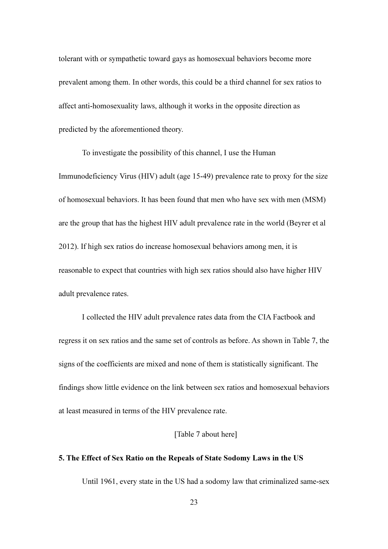tolerant with or sympathetic toward gays as homosexual behaviors become more prevalent among them. In other words, this could be a third channel for sex ratios to affect anti-homosexuality laws, although it works in the opposite direction as predicted by the aforementioned theory.

To investigate the possibility of this channel, I use the Human Immunodeficiency Virus (HIV) adult (age 15-49) prevalence rate to proxy for the size of homosexual behaviors. It has been found that men who have sex with men (MSM) are the group that has the highest HIV adult prevalence rate in the world (Beyrer et al 2012). If high sex ratios do increase homosexual behaviors among men, it is reasonable to expect that countries with high sex ratios should also have higher HIV adult prevalence rates.

I collected the HIV adult prevalence rates data from the CIA Factbook and regress it on sex ratios and the same set of controls as before. As shown in Table 7, the signs of the coefficients are mixed and none of them is statistically significant. The findings show little evidence on the link between sex ratios and homosexual behaviors at least measured in terms of the HIV prevalence rate.

#### [Table 7 about here]

#### 5. The Effect of Sex Ratio on the Repeals of State Sodomy Laws in the US

Until 1961, every state in the US had a sodomy law that criminalized same-sex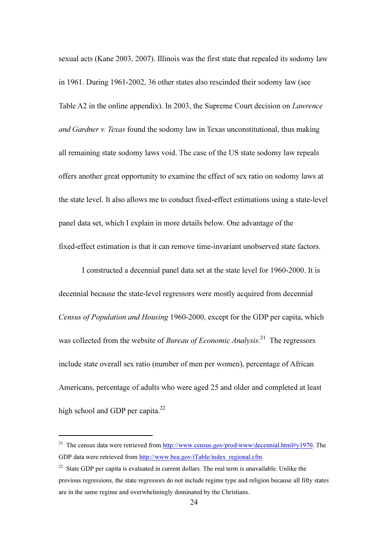sexual acts (Kane 2003, 2007). Illinois was the first state that repealed its sodomy law in 1961. During 1961-2002, 36 other states also rescinded their sodomy law (see Table A2 in the online appendix). In 2003, the Supreme Court decision on *Lawrence and Gardner v. Texas* found the sodomy law in Texas unconstitutional, thus making all remaining state sodomy laws void. The case of the US state sodomy law repeals offers another great opportunity to examine the effect of sex ratio on sodomy laws at the state level. It also allows me to conduct fixed-effect estimations using a state-level panel data set, which I explain in more details below. One advantage of the fixed-effect estimation is that it can remove time-invariant unobserved state factors.

I constructed a decennial panel data set at the state level for 1960-2000. It is decennial because the state-level regressors were mostly acquired from decennial *Census of Population and Housing* 1960-2000, except for the GDP per capita, which was collected from the website of *Bureau of Economic Analysis*. <sup>21</sup> The regressors include state overall sex ratio (number of men per women), percentage of African Americans, percentage of adults who were aged 25 and older and completed at least high school and GDP per capita.<sup>22</sup>

<sup>&</sup>lt;sup>21</sup> The census data were retrieved from http://www.census.gov/prod/www/decennial.html#y1970. The GDP data were retrieved from http://www.bea.gov/iTable/index\_regional.cfm.

 $22$  State GDP per capita is evaluated in current dollars. The real term is unavailable. Unlike the previous regressions, the state regressors do not include regime type and religion because all fifty states are in the same regime and overwhelmingly dominated by the Christians.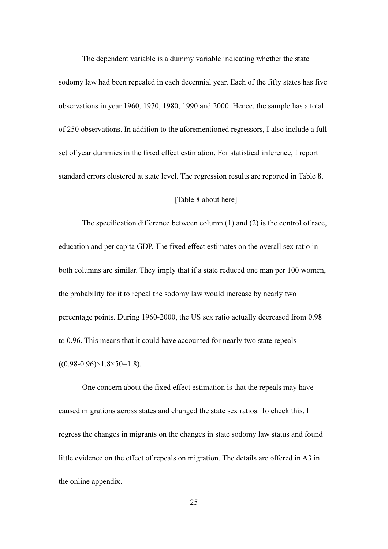The dependent variable is a dummy variable indicating whether the state sodomy law had been repealed in each decennial year. Each of the fifty states has five observations in year 1960, 1970, 1980, 1990 and 2000. Hence, the sample has a total of 250 observations. In addition to the aforementioned regressors, I also include a full set of year dummies in the fixed effect estimation. For statistical inference, I report standard errors clustered at state level. The regression results are reported in Table 8.

#### [Table 8 about here]

The specification difference between column (1) and (2) is the control of race, education and per capita GDP. The fixed effect estimates on the overall sex ratio in both columns are similar. They imply that if a state reduced one man per 100 women, the probability for it to repeal the sodomy law would increase by nearly two percentage points. During 1960-2000, the US sex ratio actually decreased from 0.98 to 0.96. This means that it could have accounted for nearly two state repeals  $((0.98-0.96)\times1.8\times50=1.8).$ 

One concern about the fixed effect estimation is that the repeals may have caused migrations across states and changed the state sex ratios. To check this, I regress the changes in migrants on the changes in state sodomy law status and found little evidence on the effect of repeals on migration. The details are offered in A3 in the online appendix.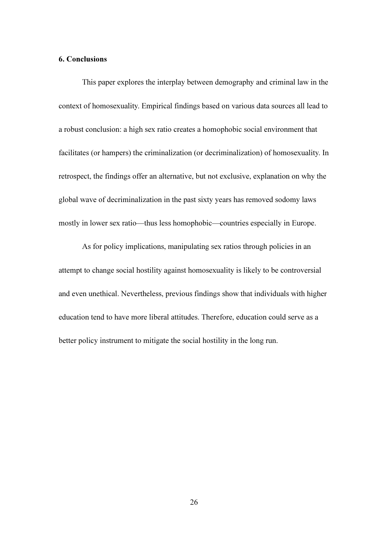#### 6. Conclusions

This paper explores the interplay between demography and criminal law in the context of homosexuality. Empirical findings based on various data sources all lead to a robust conclusion: a high sex ratio creates a homophobic social environment that facilitates (or hampers) the criminalization (or decriminalization) of homosexuality. In retrospect, the findings offer an alternative, but not exclusive, explanation on why the global wave of decriminalization in the past sixty years has removed sodomy laws mostly in lower sex ratio—thus less homophobic—countries especially in Europe.

As for policy implications, manipulating sex ratios through policies in an attempt to change social hostility against homosexuality is likely to be controversial and even unethical. Nevertheless, previous findings show that individuals with higher education tend to have more liberal attitudes. Therefore, education could serve as a better policy instrument to mitigate the social hostility in the long run.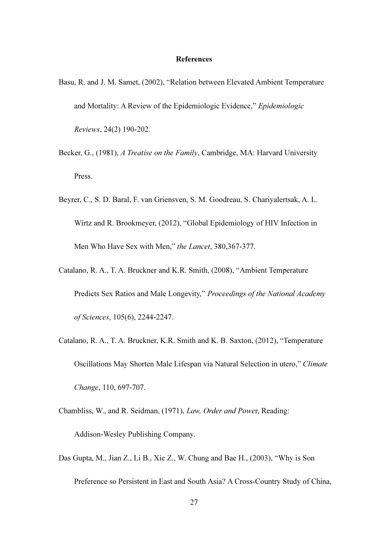#### References

- Basu, R. and J. M. Samet, (2002), "Relation between Elevated Ambient Temperature and Mortality: A Review of the Epidemiologic Evidence," *Epidemiologic Reviews*, 24(2) 190-202.
- Becker, G., (1981), *A Treatise on the Family*, Cambridge, MA: Harvard University Press.
- Beyrer, C., S. D. Baral, F. van Griensven, S. M. Goodreau, S. Chariyalertsak, A. L. Wirtz and R. Brookmeyer, (2012), "Global Epidemiology of HIV Infection in Men Who Have Sex with Men," *the Lancet*, 380,367-377.
- Catalano, R. A., T. A. Bruckner and K.R. Smith, (2008), "Ambient Temperature Predicts Sex Ratios and Male Longevity," *Proceedings of the National Academy of Sciences*, 105(6), 2244-2247.
- Catalano, R. A., T. A. Bruckner, K.R. Smith and K. B. Saxton, (2012), "Temperature Oscillations May Shorten Male Lifespan via Natural Selection in utero," *Climate Change*, 110, 697-707.
- Chambliss, W., and R. Seidman, (1971), *Law, Order and Powe*r, Reading: Addison-Wesley Publishing Company.
- Das Gupta, M., Jian Z., Li B., Xie Z., W. Chung and Bae H., (2003), "Why is Son Preference so Persistent in East and South Asia? A Cross-Country Study of China,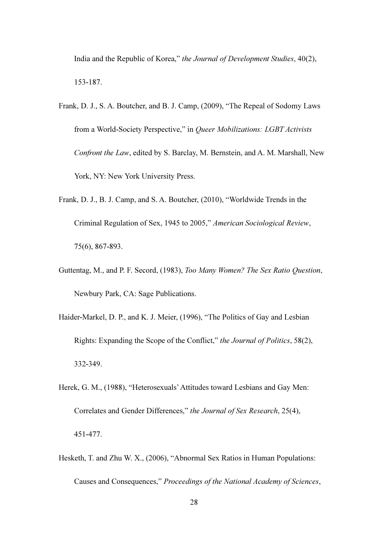India and the Republic of Korea," *the Journal of Development Studies*, 40(2), 153-187.

- Frank, D. J., S. A. Boutcher, and B. J. Camp, (2009), "The Repeal of Sodomy Laws from a World-Society Perspective," in *Queer Mobilizations: LGBT Activists Confront the Law*, edited by S. Barclay, M. Bernstein, and A. M. Marshall, New York, NY: New York University Press.
- Frank, D. J., B. J. Camp, and S. A. Boutcher, (2010), "Worldwide Trends in the Criminal Regulation of Sex, 1945 to 2005," *American Sociological Review*, 75(6), 867-893.
- Guttentag, M., and P. F. Secord, (1983), *Too Many Women? The Sex Ratio Question*, Newbury Park, CA: Sage Publications.
- Haider-Markel, D. P., and K. J. Meier, (1996), "The Politics of Gay and Lesbian Rights: Expanding the Scope of the Conflict," *the Journal of Politics*, 58(2), 332-349.
- Herek, G. M., (1988), "Heterosexuals' Attitudes toward Lesbians and Gay Men: Correlates and Gender Differences," *the Journal of Sex Research*, 25(4), 451-477.
- Hesketh, T. and Zhu W. X., (2006), "Abnormal Sex Ratios in Human Populations: Causes and Consequences," *Proceedings of the National Academy of Sciences*,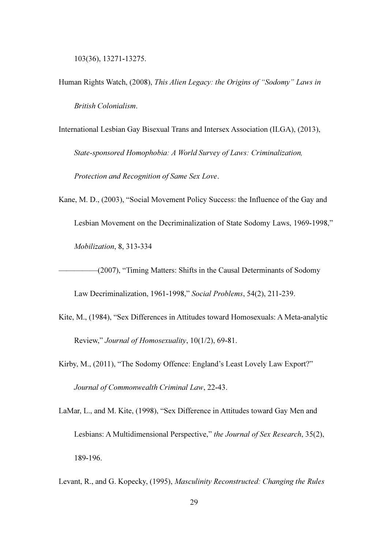103(36), 13271-13275.

- Human Rights Watch, (2008), *This Alien Legacy: the Origins of "Sodomy" Laws in British Colonialism*.
- International Lesbian Gay Bisexual Trans and Intersex Association (ILGA), (2013), *State-sponsored Homophobia: A World Survey of Laws: Criminalization, Protection and Recognition of Same Sex Love*.
- Kane, M. D., (2003), "Social Movement Policy Success: the Influence of the Gay and Lesbian Movement on the Decriminalization of State Sodomy Laws, 1969-1998," *Mobilization*, 8, 313-334
	- —————(2007), "Timing Matters: Shifts in the Causal Determinants of Sodomy

Law Decriminalization, 1961-1998," *Social Problems*, 54(2), 211-239.

- Kite, M., (1984), "Sex Differences in Attitudes toward Homosexuals: A Meta-analytic Review," *Journal of Homosexuality*, 10(1/2), 69-81.
- Kirby, M., (2011), "The Sodomy Offence: England's Least Lovely Law Export?" *Journal of Commonwealth Criminal Law*, 22-43.
- LaMar, L., and M. Kite, (1998), "Sex Difference in Attitudes toward Gay Men and Lesbians: A Multidimensional Perspective," *the Journal of Sex Research*, 35(2), 189-196.
- Levant, R., and G. Kopecky, (1995), *Masculinity Reconstructed: Changing the Rules*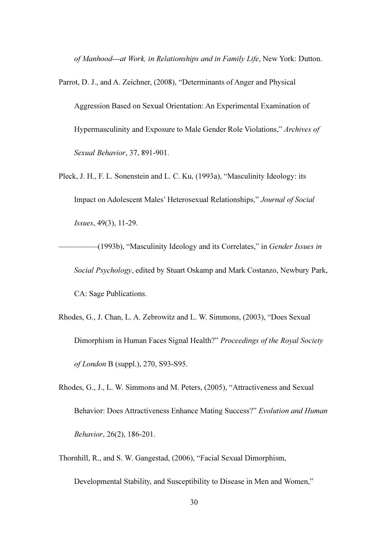*of Manhood---at Work, in Relationships and in Family Life*, New York: Dutton.

Parrot, D. J., and A. Zeichner, (2008), "Determinants of Anger and Physical Aggression Based on Sexual Orientation: An Experimental Examination of Hypermasculinity and Exposure to Male Gender Role Violations," *Archives of Sexual Behavior*, 37, 891-901.

Pleck, J. H., F. L. Sonenstein and L. C. Ku, (1993a), "Masculinity Ideology: its Impact on Adolescent Males' Heterosexual Relationships," *Journal of Social Issues*, 49(3), 11-29.

—————(1993b), "Masculinity Ideology and its Correlates," in *Gender Issues in Social Psychology*, edited by Stuart Oskamp and Mark Costanzo, Newbury Park, CA: Sage Publications.

- Rhodes, G., J. Chan, L. A. Zebrowitz and L. W. Simmons, (2003), "Does Sexual Dimorphism in Human Faces Signal Health?" *Proceedings of the Royal Society of London* B (suppl.), 270, S93-S95.
- Rhodes, G., J., L. W. Simmons and M. Peters, (2005), "Attractiveness and Sexual Behavior: Does Attractiveness Enhance Mating Success?" *Evolution and Human Behavior*, 26(2), 186-201.
- Thornhill, R., and S. W. Gangestad, (2006), "Facial Sexual Dimorphism,

Developmental Stability, and Susceptibility to Disease in Men and Women,"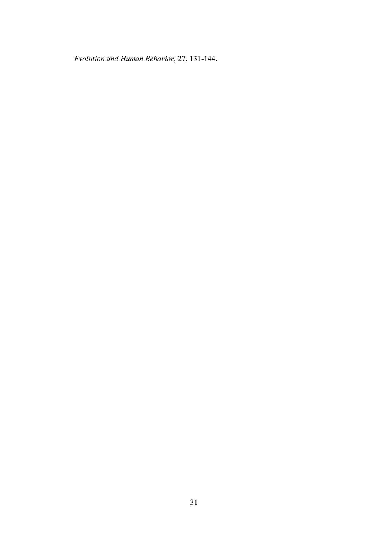*Evolution and Human Behavior*, 27, 131-144.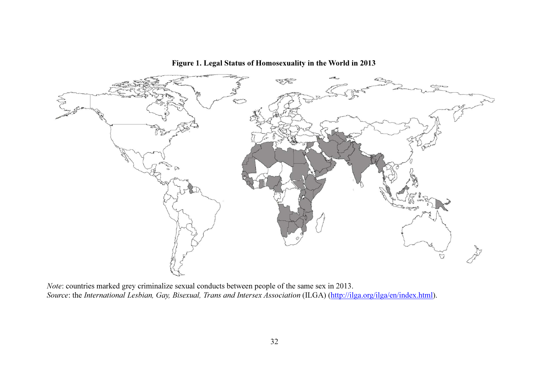

Figure 1. Legal Status of Homosexuality in the World in 2013

Note: countries marked grey criminalize sexual conducts between people of the same sex in 2013. Source: the International Lesbian, Gay, Bisexual, Trans and Intersex Association (ILGA) (http://ilga.org/ilga/en/index.html).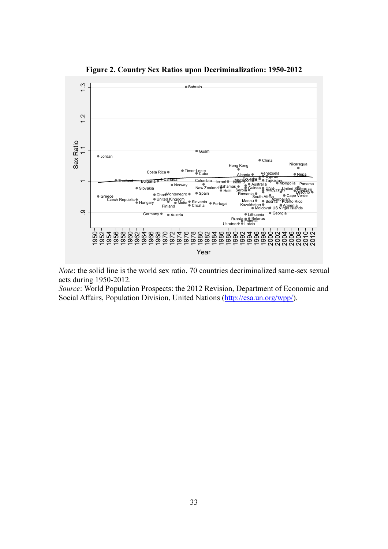

Figure 2. Country Sex Ratios upon Decriminalization: 1950-2012

Note: the solid line is the world sex ratio. 70 countries decriminalized same-sex sexual acts during 1950-2012.

Source: World Population Prospects: the 2012 Revision, Department of Economic and Social Affairs, Population Division, United Nations (http://esa.un.org/wpp/).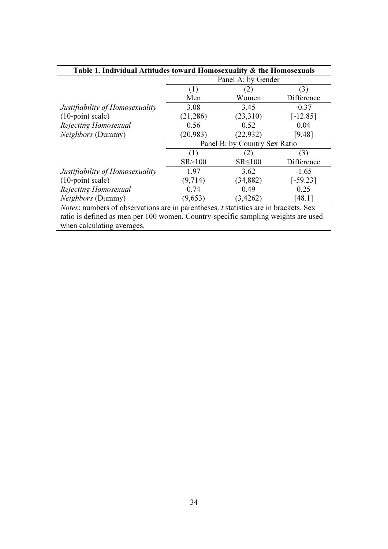|                                 |           | Panel A: by Gender            |            |
|---------------------------------|-----------|-------------------------------|------------|
|                                 | (1)       | (2)                           | (3)        |
|                                 | Men       | Women                         | Difference |
| Justifiability of Homosexuality | 3.08      | 3.45                          | $-0.37$    |
| $(10$ -point scale)             | (21, 286) | (23,310)                      | $[-12.85]$ |
| Rejecting Homosexual            | 0.56      | 0.52                          | 0.04       |
| <i>Neighbors</i> (Dummy)        | (20, 983) | (22, 932)                     | [9.48]     |
|                                 |           | Panel B: by Country Sex Ratio |            |
|                                 | (1)       | (2)                           | (3)        |
|                                 | SR > 100  | $SR \leq 100$                 | Difference |
| Justifiability of Homosexuality | 1.97      | 3.62                          | $-1.65$    |
| $(10$ -point scale)             | (9,714)   | (34, 882)                     | $[-59.23]$ |
| Rejecting Homosexual            | 0.74      | 0.49                          | 0.25       |
| <i>Neighbors</i> (Dummy)        | (9,653)   | (3,4262)                      | [48.1]     |

ratio is defined as men per 100 women. Country-specific sampling weights are used when calculating averages.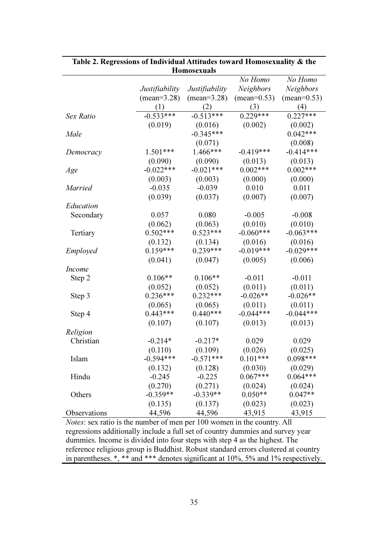|                |                | LLUMIUƏVAUAIS  |                      |                      |
|----------------|----------------|----------------|----------------------|----------------------|
|                |                |                | No Homo              | No Homo              |
|                | Justifiability | Justifiability | <b>Neighbors</b>     | Neighbors            |
|                | $(mean=3.28)$  | $(mean=3.28)$  | $(\text{mean}=0.53)$ | $(\text{mean}=0.53)$ |
|                | (1)            | (2)            | (3)                  | (4)                  |
| Sex Ratio      | $-0.533***$    | $-0.513***$    | $0.229***$           | $0.227***$           |
|                | (0.019)        | (0.016)        | (0.002)              | (0.002)              |
| Male           |                | $-0.345***$    |                      | $0.042***$           |
|                |                | (0.071)        |                      | (0.008)              |
| Democracy      | $1.501***$     | 1.466***       | $-0.419***$          | $-0.414***$          |
|                | (0.090)        | (0.090)        | (0.013)              | (0.013)              |
| Age            | $-0.022***$    | $-0.021***$    | $0.002***$           | $0.002***$           |
|                | (0.003)        | (0.003)        | (0.000)              | (0.000)              |
| <i>Married</i> | $-0.035$       | $-0.039$       | 0.010                | 0.011                |
|                | (0.039)        | (0.037)        | (0.007)              | (0.007)              |
| Education      |                |                |                      |                      |
| Secondary      | 0.057          | 0.080          | $-0.005$             | $-0.008$             |
|                | (0.062)        | (0.063)        | (0.010)              | (0.010)              |
| Tertiary       | $0.502***$     | $0.523***$     | $-0.060***$          | $-0.063***$          |
|                | (0.132)        | (0.134)        | (0.016)              | (0.016)              |
| Employed       | $0.159***$     | $0.239***$     | $-0.019***$          | $-0.029***$          |
|                | (0.041)        | (0.047)        | (0.005)              | (0.006)              |
| <i>Income</i>  |                |                |                      |                      |
| Step 2         | $0.106**$      | $0.106**$      | $-0.011$             | $-0.011$             |
|                | (0.052)        | (0.052)        | (0.011)              | (0.011)              |
| Step 3         | $0.236***$     | $0.232***$     | $-0.026**$           | $-0.026**$           |
|                | (0.065)        | (0.065)        | (0.011)              | (0.011)              |
| Step 4         | $0.443***$     | $0.440***$     | $-0.044***$          | $-0.044***$          |
|                | (0.107)        | (0.107)        | (0.013)              | (0.013)              |
| Religion       |                |                |                      |                      |
| Christian      | $-0.214*$      | $-0.217*$      | 0.029                | 0.029                |
|                | (0.110)        | (0.109)        | (0.026)              | (0.025)              |
| Islam          | $-0.594***$    | $-0.571***$    | $0.101***$           | $0.098***$           |
|                | (0.132)        | (0.128)        | (0.030)              | (0.029)              |
| Hindu          | $-0.245$       | $-0.225$       | $0.067***$           | $0.064***$           |
|                | (0.270)        | (0.271)        | (0.024)              | (0.024)              |
| Others         | $-0.359**$     | $-0.339**$     | $0.050**$            | $0.047**$            |
|                | (0.135)        | (0.137)        | (0.023)              | (0.023)              |
| Observations   | 44,596         | 44,596         | 43,915               | 43,915               |

#### Table 2. Regressions of Individual Attitudes toward Homosexuality & the Homosexuals

Notes: sex ratio is the number of men per 100 women in the country. All regressions additionally include a full set of country dummies and survey year dummies. Income is divided into four steps with step 4 as the highest. The reference religious group is Buddhist. Robust standard errors clustered at country in parentheses. \*, \*\* and \*\*\* denotes significant at 10%, 5% and 1% respectively.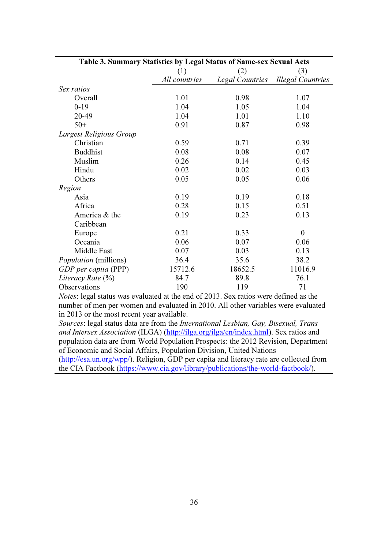| Table 3. Summary Statistics by Legal Status of Same-sex Sexual Acts |               |                        |                          |
|---------------------------------------------------------------------|---------------|------------------------|--------------------------|
|                                                                     | (1)           | (2)                    | (3)                      |
|                                                                     | All countries | <b>Legal Countries</b> | <b>Illegal Countries</b> |
| Sex ratios                                                          |               |                        |                          |
| Overall                                                             | 1.01          | 0.98                   | 1.07                     |
| $0-19$                                                              | 1.04          | 1.05                   | 1.04                     |
| 20-49                                                               | 1.04          | 1.01                   | 1.10                     |
| $50+$                                                               | 0.91          | 0.87                   | 0.98                     |
| Largest Religious Group                                             |               |                        |                          |
| Christian                                                           | 0.59          | 0.71                   | 0.39                     |
| <b>Buddhist</b>                                                     | 0.08          | 0.08                   | 0.07                     |
| Muslim                                                              | 0.26          | 0.14                   | 0.45                     |
| Hindu                                                               | 0.02          | 0.02                   | 0.03                     |
| Others                                                              | 0.05          | 0.05                   | 0.06                     |
| Region                                                              |               |                        |                          |
| Asia                                                                | 0.19          | 0.19                   | 0.18                     |
| Africa                                                              | 0.28          | 0.15                   | 0.51                     |
| America & the                                                       | 0.19          | 0.23                   | 0.13                     |
| Caribbean                                                           |               |                        |                          |
| Europe                                                              | 0.21          | 0.33                   | $\theta$                 |
| Oceania                                                             | 0.06          | 0.07                   | 0.06                     |
| Middle East                                                         | 0.07          | 0.03                   | 0.13                     |
| <i>Population</i> (millions)                                        | 36.4          | 35.6                   | 38.2                     |
| GDP per capita (PPP)                                                | 15712.6       | 18652.5                | 11016.9                  |
| Literacy Rate $(\%)$                                                | 84.7          | 89.8                   | 76.1                     |
| Observations                                                        | 190           | 119                    | 71                       |

Notes: legal status was evaluated at the end of 2013. Sex ratios were defined as the number of men per women and evaluated in 2010. All other variables were evaluated in 2013 or the most recent year available.

Sources: legal status data are from the International Lesbian, Gay, Bisexual, Trans and Intersex Association (ILGA) (http://ilga.org/ilga/en/index.html). Sex ratios and population data are from World Population Prospects: the 2012 Revision, Department of Economic and Social Affairs, Population Division, United Nations (http://esa.un.org/wpp/). Religion, GDP per capita and literacy rate are collected from the CIA Factbook (https://www.cia.gov/library/publications/the-world-factbook/).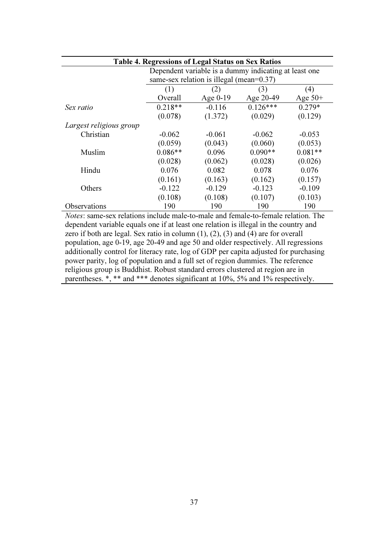| <b>Table 4. Regressions of Legal Status on Sex Ratios</b> |                                                       |                                              |            |           |
|-----------------------------------------------------------|-------------------------------------------------------|----------------------------------------------|------------|-----------|
|                                                           | Dependent variable is a dummy indicating at least one |                                              |            |           |
|                                                           |                                                       | same-sex relation is illegal (mean= $0.37$ ) |            |           |
|                                                           | (1)                                                   | (2)                                          | (3)        | (4)       |
|                                                           | Overall                                               | Age $0-19$                                   | Age 20-49  | Age $50+$ |
| Sex ratio                                                 | $0.218**$                                             | $-0.116$                                     | $0.126***$ | $0.279*$  |
|                                                           | (0.078)                                               | (1.372)                                      | (0.029)    | (0.129)   |
| Largest religious group                                   |                                                       |                                              |            |           |
| Christian                                                 | $-0.062$                                              | $-0.061$                                     | $-0.062$   | $-0.053$  |
|                                                           | (0.059)                                               | (0.043)                                      | (0.060)    | (0.053)   |
| Muslim                                                    | $0.086**$                                             | 0.096                                        | $0.090**$  | $0.081**$ |
|                                                           | (0.028)                                               | (0.062)                                      | (0.028)    | (0.026)   |
| Hindu                                                     | 0.076                                                 | 0.082                                        | 0.078      | 0.076     |
|                                                           | (0.161)                                               | (0.163)                                      | (0.162)    | (0.157)   |
| Others                                                    | $-0.122$                                              | $-0.129$                                     | $-0.123$   | $-0.109$  |
|                                                           | (0.108)                                               | (0.108)                                      | (0.107)    | (0.103)   |
| Observations                                              | 190                                                   | 190                                          | 190        | 190       |

Notes: same-sex relations include male-to-male and female-to-female relation. The dependent variable equals one if at least one relation is illegal in the country and zero if both are legal. Sex ratio in column  $(1)$ ,  $(2)$ ,  $(3)$  and  $(4)$  are for overall population, age 0-19, age 20-49 and age 50 and older respectively. All regressions additionally control for literacy rate, log of GDP per capita adjusted for purchasing power parity, log of population and a full set of region dummies. The reference religious group is Buddhist. Robust standard errors clustered at region are in parentheses.  $\ast$ ,  $\ast\ast$  and  $\ast\ast\ast$  denotes significant at 10%, 5% and 1% respectively.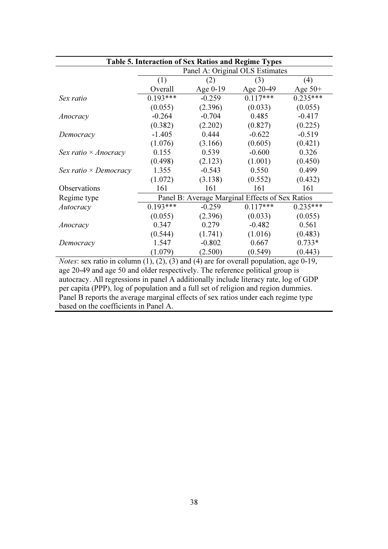|                              |            |            | Table 5. Interaction of Sex Ratios and Regime Types |            |
|------------------------------|------------|------------|-----------------------------------------------------|------------|
|                              |            |            | Panel A: Original OLS Estimates                     |            |
|                              | (1)        | (2)        | (3)                                                 | (4)        |
|                              | Overall    | Age $0-19$ | Age 20-49                                           | Age $50+$  |
| Sex ratio                    | $0.193***$ | $-0.259$   | $0.117***$                                          | $0.235***$ |
|                              | (0.055)    | (2.396)    | (0.033)                                             | (0.055)    |
| Anocracy                     | $-0.264$   | $-0.704$   | 0.485                                               | $-0.417$   |
|                              | (0.382)    | (2.202)    | (0.827)                                             | (0.225)    |
| Democracy                    | $-1.405$   | 0.444      | $-0.622$                                            | $-0.519$   |
|                              | (1.076)    | (3.166)    | (0.605)                                             | (0.421)    |
| Sex ratio $\times$ Anocracy  | 0.155      | 0.539      | $-0.600$                                            | 0.326      |
|                              | (0.498)    | (2.123)    | (1.001)                                             | (0.450)    |
| Sex ratio $\times$ Democracy | 1.355      | $-0.543$   | 0.550                                               | 0.499      |
|                              | (1.072)    | (3.138)    | (0.552)                                             | (0.432)    |
| Observations                 | 161        | 161        | 161                                                 | 161        |
| Regime type                  |            |            | Panel B: Average Marginal Effects of Sex Ratios     |            |
| Autocracy                    | $0.193***$ | $-0.259$   | $0.117***$                                          | $0.235***$ |
|                              | (0.055)    | (2.396)    | (0.033)                                             | (0.055)    |
| Anocracy                     | 0.347      | 0.279      | $-0.482$                                            | 0.561      |
|                              | (0.544)    | (1.741)    | (1.016)                                             | (0.483)    |
| Democracy                    | 1.547      | $-0.802$   | 0.667                                               | $0.733*$   |
|                              | (1.079)    | (2.500)    | (0.549)                                             | (0.443)    |

*Notes*: sex ratio in column  $(1)$ ,  $(2)$ ,  $(3)$  and  $(4)$  are for overall population, age 0-19, age 20-49 and age 50 and older respectively. The reference political group is autocracy. All regressions in panel A additionally include literacy rate, log of GDP per capita (PPP), log of population and a full set of religion and region dummies. Panel B reports the average marginal effects of sex ratios under each regime type based on the coefficients in Panel A.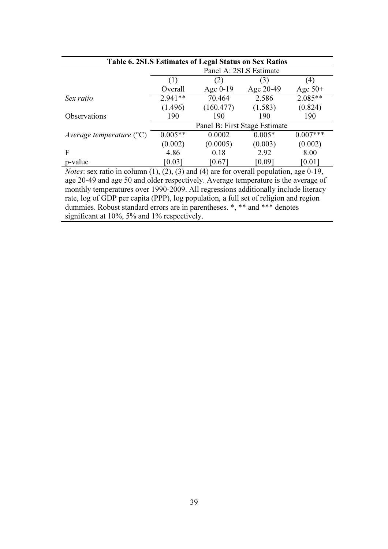| Table 6. 2SLS Estimates of Legal Status on Sex Ratios |           |            |                               |            |
|-------------------------------------------------------|-----------|------------|-------------------------------|------------|
|                                                       |           |            | Panel A: 2SLS Estimate        |            |
|                                                       | (1)       | (2)        | (3)                           | (4)        |
|                                                       | Overall   | Age $0-19$ | Age 20-49                     | Age $50+$  |
| Sex ratio                                             | $2.941**$ | 70.464     | 2.586                         | $2.085**$  |
|                                                       | (1.496)   | (160.477)  | (1.583)                       | (0.824)    |
| Observations                                          | 190       | 190        | 190                           | 190        |
|                                                       |           |            | Panel B: First Stage Estimate |            |
| Average temperature $({}^{\circ}C)$                   | $0.005**$ | 0.0002     | $0.005*$                      | $0.007***$ |
|                                                       | (0.002)   | (0.0005)   | (0.003)                       | (0.002)    |
| F                                                     | 4.86      | 0.18       | 2.92                          | 8.00       |
| p-value                                               | [0.03]    | [0.67]     | [0.09]                        | [0.01]     |

Notes: sex ratio in column  $(1)$ ,  $(2)$ ,  $(3)$  and  $(4)$  are for overall population, age 0-19, age 20-49 and age 50 and older respectively. Average temperature is the average of monthly temperatures over 1990-2009. All regressions additionally include literacy rate, log of GDP per capita (PPP), log population, a full set of religion and region dummies. Robust standard errors are in parentheses. \*, \*\* and \*\*\* denotes significant at 10%, 5% and 1% respectively.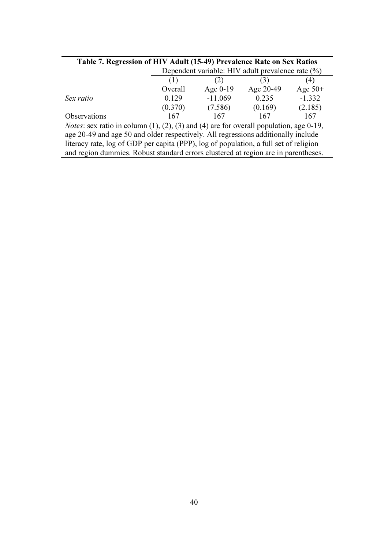| Table 7. Regression of HIV Adult (15-49) Prevalence Rate on Sex Ratios                                   |                                                   |            |           |           |
|----------------------------------------------------------------------------------------------------------|---------------------------------------------------|------------|-----------|-----------|
|                                                                                                          | Dependent variable: HIV adult prevalence rate (%) |            |           |           |
|                                                                                                          | (1)<br>4)<br>(3)<br>(2)                           |            |           |           |
|                                                                                                          | Overall                                           | Age $0-19$ | Age 20-49 | Age $50+$ |
| Sex ratio                                                                                                | 0.129                                             | $-11.069$  | 0.235     | $-1.332$  |
|                                                                                                          | (0.370)                                           | (7.586)    | (0.169)   | (2.185)   |
| Observations                                                                                             | 167                                               | 167        | 167       | 167       |
| <i>Notes</i> : sex ratio in column $(1)$ , $(2)$ , $(3)$ and $(4)$ are for overall population, age 0-19, |                                                   |            |           |           |
| age 20-49 and age 50 and older respectively. All regressions additionally include                        |                                                   |            |           |           |

literacy rate, log of GDP per capita (PPP), log of population, a full set of religion and region dummies. Robust standard errors clustered at region are in parentheses.

40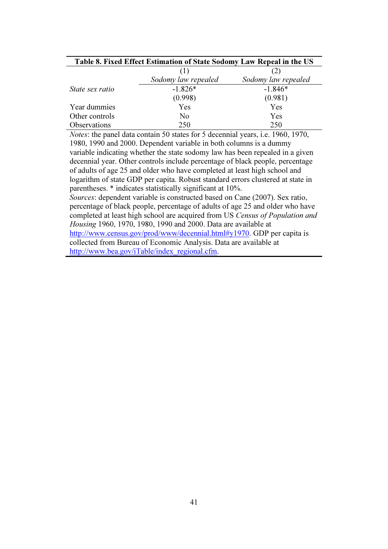| Table 8. Fixed Effect Estimation of State Sodomy Law Repeal in the US |                     |                     |
|-----------------------------------------------------------------------|---------------------|---------------------|
|                                                                       | (1)                 |                     |
|                                                                       | Sodomy law repealed | Sodomy law repealed |
| State sex ratio                                                       | $-1.826*$           | $-1.846*$           |
|                                                                       | (0.998)             | (0.981)             |
| Year dummies                                                          | Yes                 | Yes                 |
| Other controls                                                        | No                  | Yes                 |
| <b>Observations</b>                                                   | 250                 | 250                 |

Notes: the panel data contain 50 states for 5 decennial years, i.e. 1960, 1970, 1980, 1990 and 2000. Dependent variable in both columns is a dummy variable indicating whether the state sodomy law has been repealed in a given decennial year. Other controls include percentage of black people, percentage of adults of age 25 and older who have completed at least high school and logarithm of state GDP per capita. Robust standard errors clustered at state in parentheses. \* indicates statistically significant at 10%. Sources: dependent variable is constructed based on Cane (2007). Sex ratio, percentage of black people, percentage of adults of age 25 and older who have completed at least high school are acquired from US Census of Population and Housing 1960, 1970, 1980, 1990 and 2000. Data are available at http://www.census.gov/prod/www/decennial.html#y1970. GDP per capita is

collected from Bureau of Economic Analysis. Data are available at http://www.bea.gov/iTable/index\_regional.cfm.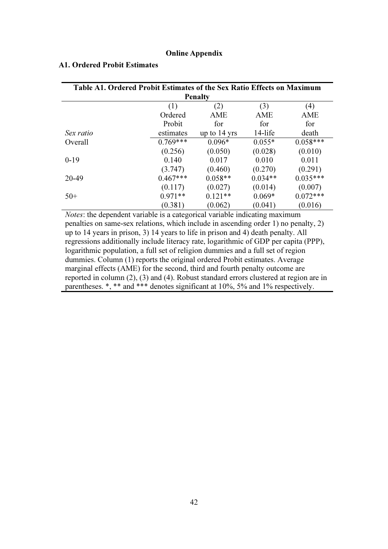#### Online Appendix

| Table A1. Ordered Probit Estimates of the Sex Ratio Effects on Maximum |            |                        |           |            |
|------------------------------------------------------------------------|------------|------------------------|-----------|------------|
|                                                                        |            | <b>Penalty</b>         |           |            |
|                                                                        | (1)        | (2)                    | (3)       | (4)        |
|                                                                        | Ordered    | <b>AME</b>             | AME       | AME        |
|                                                                        | Probit     | for                    | for       | for        |
| Sex ratio                                                              | estimates  | up to $14 \text{ yrs}$ | 14-life   | death      |
| Overall                                                                | $0.769***$ | $0.096*$               | $0.055*$  | $0.058***$ |
|                                                                        | (0.256)    | (0.050)                | (0.028)   | (0.010)    |
| $0-19$                                                                 | 0.140      | 0.017                  | 0.010     | 0.011      |
|                                                                        | (3.747)    | (0.460)                | (0.270)   | (0.291)    |
| 20-49                                                                  | $0.467***$ | $0.058**$              | $0.034**$ | $0.035***$ |
|                                                                        | (0.117)    | (0.027)                | (0.014)   | (0.007)    |
| $50+$                                                                  | $0.971**$  | $0.121**$              | $0.069*$  | $0.072***$ |
|                                                                        | (0.381)    | (0.062)                | (0.041)   | (0.016)    |

#### A1. Ordered Probit Estimates

Notes: the dependent variable is a categorical variable indicating maximum penalties on same-sex relations, which include in ascending order 1) no penalty, 2) up to 14 years in prison, 3) 14 years to life in prison and 4) death penalty. All regressions additionally include literacy rate, logarithmic of GDP per capita (PPP), logarithmic population, a full set of religion dummies and a full set of region dummies. Column (1) reports the original ordered Probit estimates. Average marginal effects (AME) for the second, third and fourth penalty outcome are reported in column (2), (3) and (4). Robust standard errors clustered at region are in parentheses. \*, \*\* and \*\*\* denotes significant at 10%, 5% and 1% respectively.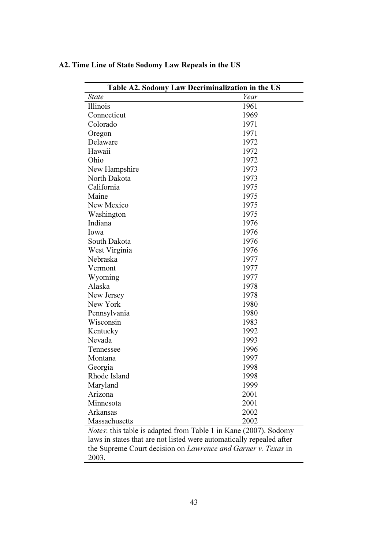| Table A2. Sodomy Law Decriminalization in the US                 |      |  |
|------------------------------------------------------------------|------|--|
| <b>State</b>                                                     | Year |  |
| Illinois                                                         | 1961 |  |
| Connecticut                                                      | 1969 |  |
| Colorado                                                         | 1971 |  |
| Oregon                                                           | 1971 |  |
| Delaware                                                         | 1972 |  |
| Hawaii                                                           | 1972 |  |
| Ohio                                                             | 1972 |  |
| New Hampshire                                                    | 1973 |  |
| North Dakota                                                     | 1973 |  |
| California                                                       | 1975 |  |
| Maine                                                            | 1975 |  |
| New Mexico                                                       | 1975 |  |
| Washington                                                       | 1975 |  |
| Indiana                                                          | 1976 |  |
| Iowa                                                             | 1976 |  |
| South Dakota                                                     | 1976 |  |
| West Virginia                                                    | 1976 |  |
| Nebraska                                                         | 1977 |  |
| Vermont                                                          | 1977 |  |
| Wyoming                                                          | 1977 |  |
| Alaska                                                           | 1978 |  |
| New Jersey                                                       | 1978 |  |
| New York                                                         | 1980 |  |
| Pennsylvania                                                     | 1980 |  |
| Wisconsin                                                        | 1983 |  |
| Kentucky                                                         | 1992 |  |
| Nevada                                                           | 1993 |  |
| Tennessee                                                        | 1996 |  |
| Montana                                                          | 1997 |  |
| Georgia                                                          | 1998 |  |
| Rhode Island                                                     | 1998 |  |
| Maryland                                                         | 1999 |  |
| Arizona                                                          | 2001 |  |
| Minnesota                                                        | 2001 |  |
| Arkansas                                                         | 2002 |  |
| Massachusetts                                                    | 2002 |  |
| Notes: this table is adapted from Table 1 in Kane (2007). Sodomy |      |  |

### A2. Time Line of State Sodomy Law Repeals in the US

laws in states that are not listed were automatically repealed after the Supreme Court decision on *Lawrence and Garner v. Texas* in 2003.